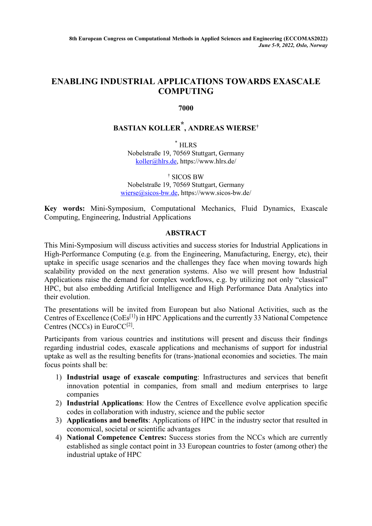## **ENABLING INDUSTRIAL APPLICATIONS TOWARDS EXASCALE COMPUTING**

### **7000**

# **BASTIAN KOLLER \*, ANDREAS WIERSE†**

 $^\ast$  HLRS Nobelstraße 19, 70569 Stuttgart, Germany [koller@hlrs.de,](mailto:koller@hlrs.de) https://www.hlrs.de/

† SICOS BW

Nobelstraße 19, 70569 Stuttgart, Germany [wierse@sicos-bw.de,](mailto:wierse@sicos-bw.de) https://www.sicos-bw.de/

**Key words:** Mini-Symposium, Computational Mechanics, Fluid Dynamics, Exascale Computing, Engineering, Industrial Applications

#### **ABSTRACT**

This Mini-Symposium will discuss activities and success stories for Industrial Applications in High-Performance Computing (e.g. from the Engineering, Manufacturing, Energy, etc), their uptake in specific usage scenarios and the challenges they face when moving towards high scalability provided on the next generation systems. Also we will present how Industrial Applications raise the demand for complex workflows, e.g. by utilizing not only "classical" HPC, but also embedding Artificial Intelligence and High Performance Data Analytics into their evolution.

The presentations will be invited from European but also National Activities, such as the Centres of Excellence  $(CoEs<sup>[1]</sup>)$  in HPC Applications and the currently 33 National Competence Centres (NCCs) in EuroCC $[2]$ .

Participants from various countries and institutions will present and discuss their findings regarding industrial codes, exascale applications and mechanisms of support for industrial uptake as well as the resulting benefits for (trans-)national economies and societies. The main focus points shall be:

- 1) **Industrial usage of exascale computing**: Infrastructures and services that benefit innovation potential in companies, from small and medium enterprises to large companies
- 2) **Industrial Applications**: How the Centres of Excellence evolve application specific codes in collaboration with industry, science and the public sector
- 3) **Applications and benefits**: Applications of HPC in the industry sector that resulted in economical, societal or scientific advantages
- 4) **National Competence Centres:** Success stories from the NCCs which are currently established as single contact point in 33 European countries to foster (among other) the industrial uptake of HPC